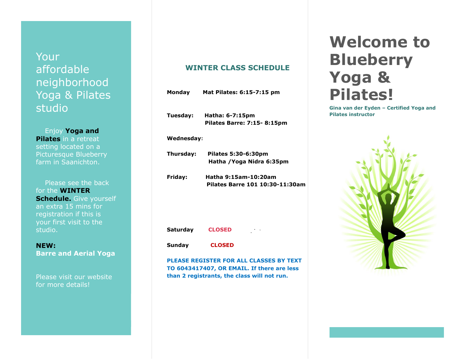## Your affordable neighborhood Yoga & Pilates studio

 Enjoy **Yoga and Pilates** in a retreat setting located on a Picturesque Blueberry farm in Saanichton.

 Please see the back for the **WINTER Schedule.** Give yourself an extra 15 mins for registration if this is your first visit to the studio.

**NEW: Barre and Aerial Yoga**

Please visit our website for more details!

### **WINTER CLASS SCHEDULE**

|                 | Monday Mat Pilates: 6:15-7:15 pm                        |
|-----------------|---------------------------------------------------------|
|                 | Tuesday: Hatha: 6-7:15pm<br>Pilates Barre: 7:15-8:15pm  |
| Wednesday:      |                                                         |
| Thursday:       | Pilates 5:30-6:30pm<br>Hatha / Yoga Nidra 6:35pm        |
| Friday:         | Hatha 9:15am-10:20am<br>Pilates Barre 101 10:30-11:30am |
| <b>Saturday</b> | <b>CLOSED</b><br>$\sim 7-8$                             |
| <b>Sunday</b>   | <b>CLOSED</b>                                           |
|                 | <b>PLEASE REGISTER FOR ALL CLASSES BY TEXT</b>          |

**TO 6043417407, OR EMAIL. If there are less than 2 registrants, the class will not run.**

# **Welcome to Blueberry Yoga & Pilates!**

**Gina van der Eyden – Certified Yoga and Pilates instructor**